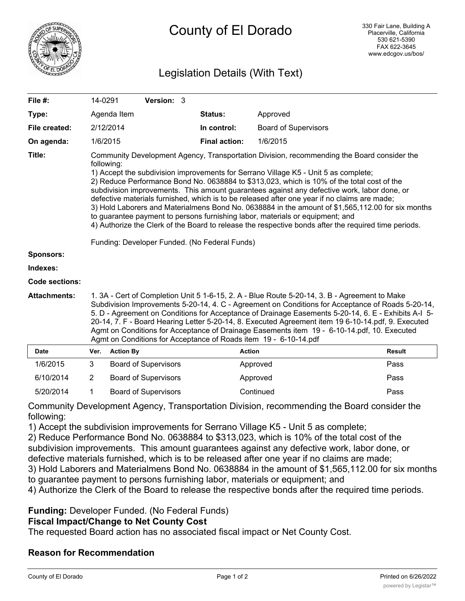

# Legislation Details (With Text)

| File $#$ :          | 14-0291                                                                                                                                                                                                                                                                                                                                                                                                                                                                                                                                                                                                                                                                                                                                                                                                                                     |                  | Version: 3                  |                      |                             |               |
|---------------------|---------------------------------------------------------------------------------------------------------------------------------------------------------------------------------------------------------------------------------------------------------------------------------------------------------------------------------------------------------------------------------------------------------------------------------------------------------------------------------------------------------------------------------------------------------------------------------------------------------------------------------------------------------------------------------------------------------------------------------------------------------------------------------------------------------------------------------------------|------------------|-----------------------------|----------------------|-----------------------------|---------------|
| Type:               |                                                                                                                                                                                                                                                                                                                                                                                                                                                                                                                                                                                                                                                                                                                                                                                                                                             | Agenda Item      |                             | <b>Status:</b>       | Approved                    |               |
| File created:       |                                                                                                                                                                                                                                                                                                                                                                                                                                                                                                                                                                                                                                                                                                                                                                                                                                             | 2/12/2014        |                             | In control:          | <b>Board of Supervisors</b> |               |
| On agenda:          |                                                                                                                                                                                                                                                                                                                                                                                                                                                                                                                                                                                                                                                                                                                                                                                                                                             | 1/6/2015         |                             | <b>Final action:</b> | 1/6/2015                    |               |
| Title:              | Community Development Agency, Transportation Division, recommending the Board consider the<br>following:<br>1) Accept the subdivision improvements for Serrano Village K5 - Unit 5 as complete;<br>2) Reduce Performance Bond No. 0638884 to \$313,023, which is 10% of the total cost of the<br>subdivision improvements. This amount guarantees against any defective work, labor done, or<br>defective materials furnished, which is to be released after one year if no claims are made;<br>3) Hold Laborers and Materialmens Bond No. 0638884 in the amount of \$1,565,112.00 for six months<br>to guarantee payment to persons furnishing labor, materials or equipment; and<br>4) Authorize the Clerk of the Board to release the respective bonds after the required time periods.<br>Funding: Developer Funded. (No Federal Funds) |                  |                             |                      |                             |               |
| <b>Sponsors:</b>    |                                                                                                                                                                                                                                                                                                                                                                                                                                                                                                                                                                                                                                                                                                                                                                                                                                             |                  |                             |                      |                             |               |
| Indexes:            |                                                                                                                                                                                                                                                                                                                                                                                                                                                                                                                                                                                                                                                                                                                                                                                                                                             |                  |                             |                      |                             |               |
| Code sections:      |                                                                                                                                                                                                                                                                                                                                                                                                                                                                                                                                                                                                                                                                                                                                                                                                                                             |                  |                             |                      |                             |               |
| <b>Attachments:</b> | 1. 3A - Cert of Completion Unit 5 1-6-15, 2. A - Blue Route 5-20-14, 3. B - Agreement to Make<br>Subdivision Improvements 5-20-14, 4. C - Agreement on Conditions for Acceptance of Roads 5-20-14,<br>5. D - Agreement on Conditions for Acceptance of Drainage Easements 5-20-14, 6. E - Exhibits A-I 5-<br>20-14, 7. F - Board Hearing Letter 5-20-14, 8. Executed Agreement item 19 6-10-14.pdf, 9. Executed<br>Agmt on Conditions for Acceptance of Drainage Easements item 19 - 6-10-14.pdf, 10. Executed<br>Agmt on Conditions for Acceptance of Roads item 19 - 6-10-14.pdf                                                                                                                                                                                                                                                          |                  |                             |                      |                             |               |
| <b>Date</b>         | Ver.                                                                                                                                                                                                                                                                                                                                                                                                                                                                                                                                                                                                                                                                                                                                                                                                                                        | <b>Action By</b> |                             |                      | <b>Action</b>               | <b>Result</b> |
| 1/6/2015            | 3                                                                                                                                                                                                                                                                                                                                                                                                                                                                                                                                                                                                                                                                                                                                                                                                                                           |                  | <b>Board of Supervisors</b> |                      | Approved                    | Pass          |
| 6/10/2014           | $\overline{2}$                                                                                                                                                                                                                                                                                                                                                                                                                                                                                                                                                                                                                                                                                                                                                                                                                              |                  | <b>Board of Supervisors</b> |                      | Approved                    | Pass          |
| 5/20/2014           | 1                                                                                                                                                                                                                                                                                                                                                                                                                                                                                                                                                                                                                                                                                                                                                                                                                                           |                  | <b>Board of Supervisors</b> |                      | Continued                   | Pass          |

Community Development Agency, Transportation Division, recommending the Board consider the following:

1) Accept the subdivision improvements for Serrano Village K5 - Unit 5 as complete;

2) Reduce Performance Bond No. 0638884 to \$313,023, which is 10% of the total cost of the

subdivision improvements. This amount guarantees against any defective work, labor done, or

defective materials furnished, which is to be released after one year if no claims are made;

3) Hold Laborers and Materialmens Bond No. 0638884 in the amount of \$1,565,112.00 for six months to guarantee payment to persons furnishing labor, materials or equipment; and

4) Authorize the Clerk of the Board to release the respective bonds after the required time periods.

#### **Funding:** Developer Funded. (No Federal Funds)

#### **Fiscal Impact/Change to Net County Cost**

The requested Board action has no associated fiscal impact or Net County Cost.

#### **Reason for Recommendation**